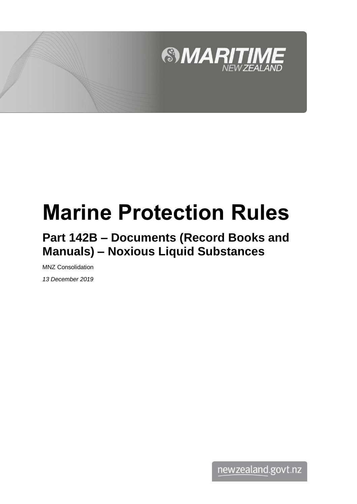

# **Marine Protection Rules**

**Part 142B – Documents (Record Books and Manuals) – Noxious Liquid Substances**

MNZ Consolidation

*13 December 2019*

newzealand.govt.nz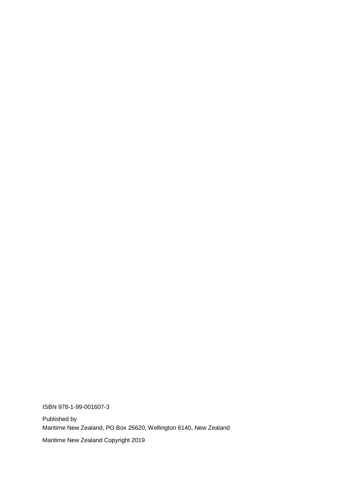ISBN 978-1-99-001607-3

Published by Maritime New Zealand, PO Box 25620, Wellington 6140, New Zealand

Maritime New Zealand Copyright 2019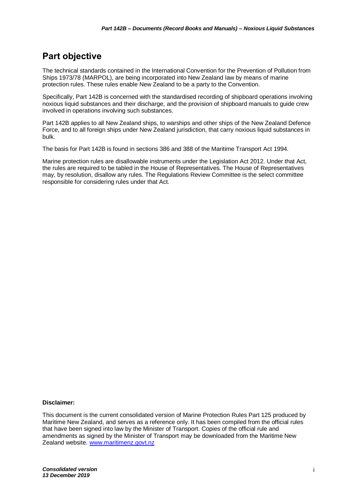# **Part objective**

The technical standards contained in the International Convention for the Prevention of Pollution from Ships 1973/78 (MARPOL), are being incorporated into New Zealand law by means of marine protection rules. These rules enable New Zealand to be a party to the Convention.

Specifically, Part 142B is concerned with the standardised recording of shipboard operations involving noxious liquid substances and their discharge, and the provision of shipboard manuals to guide crew involved in operations involving such substances.

Part 142B applies to all New Zealand ships, to warships and other ships of the New Zealand Defence Force, and to all foreign ships under New Zealand jurisdiction, that carry noxious liquid substances in bulk.

The basis for Part 142B is found in sections 386 and 388 of the Maritime Transport Act 1994.

Marine protection rules are disallowable instruments under the Legislation Act 2012. Under that Act, the rules are required to be tabled in the House of Representatives. The House of Representatives may, by resolution, disallow any rules. The Regulations Review Committee is the select committee responsible for considering rules under that Act.

#### **Disclaimer:**

This document is the current consolidated version of Marine Protection Rules Part 125 produced by Maritime New Zealand, and serves as a reference only. It has been compiled from the official rules that have been signed into law by the Minister of Transport. Copies of the official rule and amendments as signed by the Minister of Transport may be downloaded from the Maritime New Zealand website. [www.maritimenz.govt.nz](http://www.maritimenz.govt.nz/)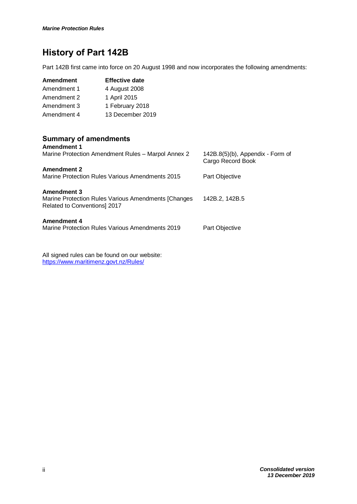# **History of Part 142B**

Part 142B first came into force on 20 August 1998 and now incorporates the following amendments:

| Amendment   | <b>Effective date</b> |
|-------------|-----------------------|
| Amendment 1 | 4 August 2008         |
| Amendment 2 | 1 April 2015          |
| Amendment 3 | 1 February 2018       |
| Amendment 4 | 13 December 2019      |

# **Summary of amendments**

| <b>Amendment 1</b><br>Marine Protection Amendment Rules - Marpol Annex 2                                 | $142B.8(5)(b)$ , Appendix - Form of<br>Cargo Record Book |
|----------------------------------------------------------------------------------------------------------|----------------------------------------------------------|
| <b>Amendment 2</b><br><b>Marine Protection Rules Various Amendments 2015</b>                             | Part Objective                                           |
| <b>Amendment 3</b><br>Marine Protection Rules Various Amendments [Changes<br>Related to Conventions 2017 | 142B.2, 142B.5                                           |
| <b>Amendment 4</b><br>Marine Protection Rules Various Amendments 2019                                    | Part Objective                                           |

All signed rules can be found on our website: <https://www.maritimenz.govt.nz/Rules/>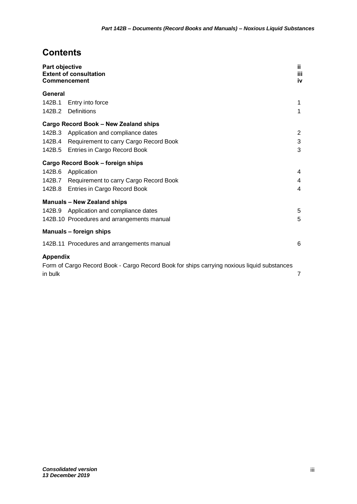# **Contents**

|                 | Part objective<br>jj.<br><b>Extent of consultation</b><br>iii<br>iv<br>Commencement        |                |  |  |  |  |
|-----------------|--------------------------------------------------------------------------------------------|----------------|--|--|--|--|
| General         |                                                                                            |                |  |  |  |  |
| 142B.1          | Entry into force                                                                           | 1              |  |  |  |  |
|                 | 142B.2 Definitions                                                                         | 1              |  |  |  |  |
|                 | Cargo Record Book - New Zealand ships                                                      |                |  |  |  |  |
|                 | 142B.3 Application and compliance dates                                                    | $\overline{2}$ |  |  |  |  |
|                 | 142B.4 Requirement to carry Cargo Record Book                                              | 3              |  |  |  |  |
|                 | 142B.5 Entries in Cargo Record Book                                                        | 3              |  |  |  |  |
|                 | Cargo Record Book - foreign ships                                                          |                |  |  |  |  |
|                 | 142B.6 Application                                                                         | 4              |  |  |  |  |
|                 | 142B.7 Requirement to carry Cargo Record Book                                              | 4              |  |  |  |  |
|                 | 142B.8 Entries in Cargo Record Book                                                        | 4              |  |  |  |  |
|                 | <b>Manuals - New Zealand ships</b>                                                         |                |  |  |  |  |
|                 | 142B.9 Application and compliance dates                                                    | 5              |  |  |  |  |
|                 | 142B.10 Procedures and arrangements manual                                                 | 5              |  |  |  |  |
|                 | Manuals - foreign ships                                                                    |                |  |  |  |  |
|                 | 142B.11 Procedures and arrangements manual                                                 | 6              |  |  |  |  |
| <b>Appendix</b> |                                                                                            |                |  |  |  |  |
| in bulk         | Form of Cargo Record Book - Cargo Record Book for ships carrying noxious liquid substances | $\overline{7}$ |  |  |  |  |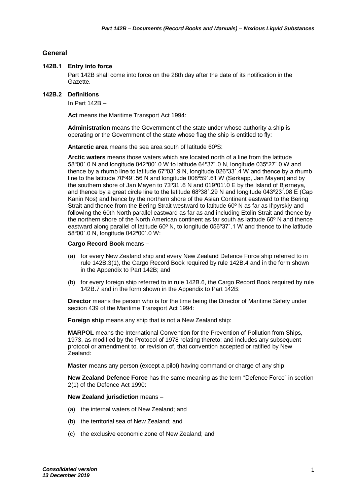#### **General**

#### **142B.1 Entry into force**

Part 142B shall come into force on the 28th day after the date of its notification in the Gazette.

#### **142B.2 Definitions**

In Part 142B –

**Act** means the Maritime Transport Act 1994:

**Administration** means the Government of the state under whose authority a ship is operating or the Government of the state whose flag the ship is entitled to fly:

**Antarctic area** means the sea area south of latitude 60ºS:

**Arctic waters** means those waters which are located north of a line from the latitude 58º00΄.0 N and longitude 042º00΄.0 W to latitude 64º37΄.0 N, longitude 035º27΄.0 W and thence by a rhumb line to latitude 67º03΄.9 N, longitude 026º33΄.4 W and thence by a rhumb line to the latitude 70º49΄.56 N and longitude 008º59΄.61 W (Sørkapp, Jan Mayen) and by the southern shore of Jan Mayen to 73º31'.6 N and 019º01'.0 E by the Island of Bjørnøya, and thence by a great circle line to the latitude 68º38΄.29 N and longitude 043º23΄.08 E (Cap Kanin Nos) and hence by the northern shore of the Asian Continent eastward to the Bering Strait and thence from the Bering Strait westward to latitude 60º N as far as Il'pyrskiy and following the 60th North parallel eastward as far as and including Etolin Strait and thence by the northern shore of the North American continent as far south as latitude 60º N and thence eastward along parallel of latitude 60º N, to longitude 056º37΄.1 W and thence to the latitude 58º00΄.0 N, longitude 042º00΄.0 W:

#### **Cargo Record Book** means –

- (a) for every New Zealand ship and every New Zealand Defence Force ship referred to in rule 142B.3(1), the Cargo Record Book required by rule 142B.4 and in the form shown in the Appendix to Part 142B; and
- (b) for every foreign ship referred to in rule 142B.6, the Cargo Record Book required by rule 142B.7 and in the form shown in the Appendix to Part 142B:

**Director** means the person who is for the time being the Director of Maritime Safety under section 439 of the Maritime Transport Act 1994:

**Foreign ship** means any ship that is not a New Zealand ship:

**MARPOL** means the International Convention for the Prevention of Pollution from Ships, 1973, as modified by the Protocol of 1978 relating thereto; and includes any subsequent protocol or amendment to, or revision of, that convention accepted or ratified by New Zealand:

**Master** means any person (except a pilot) having command or charge of any ship:

**New Zealand Defence Force** has the same meaning as the term "Defence Force" in section 2(1) of the Defence Act 1990:

#### **New Zealand jurisdiction** means –

- (a) the internal waters of New Zealand; and
- (b) the territorial sea of New Zealand; and
- (c) the exclusive economic zone of New Zealand; and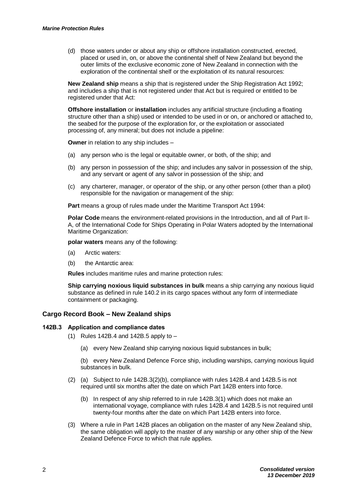(d) those waters under or about any ship or offshore installation constructed, erected, placed or used in, on, or above the continental shelf of New Zealand but beyond the outer limits of the exclusive economic zone of New Zealand in connection with the exploration of the continental shelf or the exploitation of its natural resources:

**New Zealand ship** means a ship that is registered under the Ship Registration Act 1992; and includes a ship that is not registered under that Act but is required or entitled to be registered under that Act:

**Offshore installation** or **installation** includes any artificial structure (including a floating structure other than a ship) used or intended to be used in or on, or anchored or attached to, the seabed for the purpose of the exploration for, or the exploitation or associated processing of, any mineral; but does not include a pipeline:

**Owner** in relation to any ship includes –

- (a) any person who is the legal or equitable owner, or both, of the ship; and
- (b) any person in possession of the ship; and includes any salvor in possession of the ship, and any servant or agent of any salvor in possession of the ship; and
- (c) any charterer, manager, or operator of the ship, or any other person (other than a pilot) responsible for the navigation or management of the ship:

**Part** means a group of rules made under the Maritime Transport Act 1994:

**Polar Code** means the environment-related provisions in the Introduction, and all of Part II-A, of the International Code for Ships Operating in Polar Waters adopted by the International Maritime Organization:

**polar waters** means any of the following:

- (a) Arctic waters:
- (b) the Antarctic area:

**Rules** includes maritime rules and marine protection rules:

**Ship carrying noxious liquid substances in bulk** means a ship carrying any noxious liquid substance as defined in rule 140.2 in its cargo spaces without any form of intermediate containment or packaging.

#### **Cargo Record Book – New Zealand ships**

#### **142B.3 Application and compliance dates**

- (1) Rules 142B.4 and 142B.5 apply to
	- (a) every New Zealand ship carrying noxious liquid substances in bulk;

(b) every New Zealand Defence Force ship, including warships, carrying noxious liquid substances in bulk.

- (2) (a) Subject to rule 142B.3(2)(b), compliance with rules 142B.4 and 142B.5 is not required until six months after the date on which Part 142B enters into force.
	- (b) In respect of any ship referred to in rule 142B.3(1) which does not make an international voyage, compliance with rules 142B.4 and 142B.5 is not required until twenty-four months after the date on which Part 142B enters into force.
- (3) Where a rule in Part 142B places an obligation on the master of any New Zealand ship, the same obligation will apply to the master of any warship or any other ship of the New Zealand Defence Force to which that rule applies.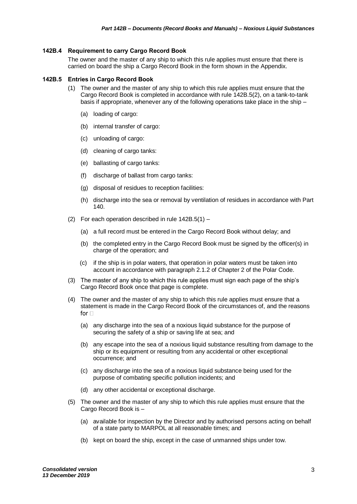#### **142B.4 Requirement to carry Cargo Record Book**

The owner and the master of any ship to which this rule applies must ensure that there is carried on board the ship a Cargo Record Book in the form shown in the Appendix.

#### **142B.5 Entries in Cargo Record Book**

- (1) The owner and the master of any ship to which this rule applies must ensure that the Cargo Record Book is completed in accordance with rule 142B.5(2), on a tank-to-tank basis if appropriate, whenever any of the following operations take place in the ship –
	- (a) loading of cargo:
	- (b) internal transfer of cargo:
	- (c) unloading of cargo:
	- (d) cleaning of cargo tanks:
	- (e) ballasting of cargo tanks:
	- (f) discharge of ballast from cargo tanks:
	- (g) disposal of residues to reception facilities:
	- (h) discharge into the sea or removal by ventilation of residues in accordance with Part 140.
- (2) For each operation described in rule 142B.5(1)
	- (a) a full record must be entered in the Cargo Record Book without delay; and
	- (b) the completed entry in the Cargo Record Book must be signed by the officer(s) in charge of the operation; and
	- (c) if the ship is in polar waters, that operation in polar waters must be taken into account in accordance with paragraph 2.1.2 of Chapter 2 of the Polar Code.
- (3) The master of any ship to which this rule applies must sign each page of the ship's Cargo Record Book once that page is complete.
- (4) The owner and the master of any ship to which this rule applies must ensure that a statement is made in the Cargo Record Book of the circumstances of, and the reasons for  $\Box$ 
	- (a) any discharge into the sea of a noxious liquid substance for the purpose of securing the safety of a ship or saving life at sea; and
	- (b) any escape into the sea of a noxious liquid substance resulting from damage to the ship or its equipment or resulting from any accidental or other exceptional occurrence; and
	- (c) any discharge into the sea of a noxious liquid substance being used for the purpose of combating specific pollution incidents; and
	- (d) any other accidental or exceptional discharge.
- (5) The owner and the master of any ship to which this rule applies must ensure that the Cargo Record Book is –
	- (a) available for inspection by the Director and by authorised persons acting on behalf of a state party to MARPOL at all reasonable times; and
	- (b) kept on board the ship, except in the case of unmanned ships under tow.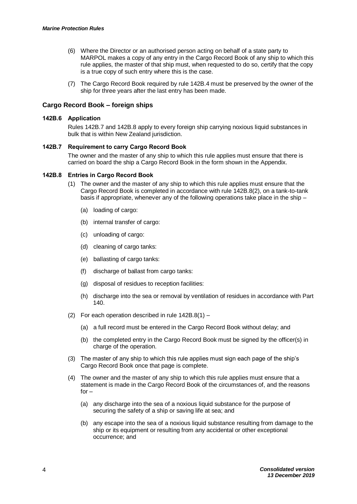- (6) Where the Director or an authorised person acting on behalf of a state party to MARPOL makes a copy of any entry in the Cargo Record Book of any ship to which this rule applies, the master of that ship must, when requested to do so, certify that the copy is a true copy of such entry where this is the case.
- (7) The Cargo Record Book required by rule 142B.4 must be preserved by the owner of the ship for three years after the last entry has been made.

#### **Cargo Record Book – foreign ships**

#### **142B.6 Application**

Rules 142B.7 and 142B.8 apply to every foreign ship carrying noxious liquid substances in bulk that is within New Zealand jurisdiction.

#### **142B.7 Requirement to carry Cargo Record Book**

The owner and the master of any ship to which this rule applies must ensure that there is carried on board the ship a Cargo Record Book in the form shown in the Appendix.

#### **142B.8 Entries in Cargo Record Book**

- (1) The owner and the master of any ship to which this rule applies must ensure that the Cargo Record Book is completed in accordance with rule 142B.8(2), on a tank-to-tank basis if appropriate, whenever any of the following operations take place in the ship –
	- (a) loading of cargo:
	- (b) internal transfer of cargo:
	- (c) unloading of cargo:
	- (d) cleaning of cargo tanks:
	- (e) ballasting of cargo tanks:
	- (f) discharge of ballast from cargo tanks:
	- (g) disposal of residues to reception facilities:
	- (h) discharge into the sea or removal by ventilation of residues in accordance with Part 140.
- (2) For each operation described in rule 142B.8(1)
	- (a) a full record must be entered in the Cargo Record Book without delay; and
	- (b) the completed entry in the Cargo Record Book must be signed by the officer(s) in charge of the operation.
- (3) The master of any ship to which this rule applies must sign each page of the ship's Cargo Record Book once that page is complete.
- (4) The owner and the master of any ship to which this rule applies must ensure that a statement is made in the Cargo Record Book of the circumstances of, and the reasons for –
	- (a) any discharge into the sea of a noxious liquid substance for the purpose of securing the safety of a ship or saving life at sea; and
	- (b) any escape into the sea of a noxious liquid substance resulting from damage to the ship or its equipment or resulting from any accidental or other exceptional occurrence; and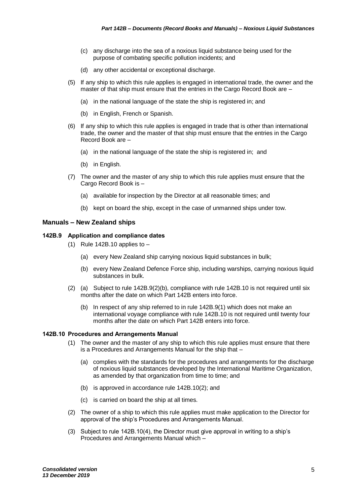- (c) any discharge into the sea of a noxious liquid substance being used for the purpose of combating specific pollution incidents; and
- (d) any other accidental or exceptional discharge.
- (5) If any ship to which this rule applies is engaged in international trade, the owner and the master of that ship must ensure that the entries in the Cargo Record Book are –
	- (a) in the national language of the state the ship is registered in; and
	- (b) in English, French or Spanish.
- (6) If any ship to which this rule applies is engaged in trade that is other than international trade, the owner and the master of that ship must ensure that the entries in the Cargo Record Book are –
	- (a) in the national language of the state the ship is registered in; and
	- (b) in English.
- (7) The owner and the master of any ship to which this rule applies must ensure that the Cargo Record Book is –
	- (a) available for inspection by the Director at all reasonable times; and
	- (b) kept on board the ship, except in the case of unmanned ships under tow.

#### **Manuals – New Zealand ships**

#### **142B.9 Application and compliance dates**

- (1) Rule 142B.10 applies to  $-$ 
	- (a) every New Zealand ship carrying noxious liquid substances in bulk;
	- (b) every New Zealand Defence Force ship, including warships, carrying noxious liquid substances in bulk.
- (2) (a) Subject to rule 142B.9(2)(b), compliance with rule 142B.10 is not required until six months after the date on which Part 142B enters into force.
	- (b) In respect of any ship referred to in rule 142B.9(1) which does not make an international voyage compliance with rule 142B.10 is not required until twenty four months after the date on which Part 142B enters into force.

#### **142B.10 Procedures and Arrangements Manual**

- (1) The owner and the master of any ship to which this rule applies must ensure that there is a Procedures and Arrangements Manual for the ship that –
	- (a) complies with the standards for the procedures and arrangements for the discharge of noxious liquid substances developed by the International Maritime Organization, as amended by that organization from time to time; and
	- (b) is approved in accordance rule 142B.10(2); and
	- (c) is carried on board the ship at all times.
- (2) The owner of a ship to which this rule applies must make application to the Director for approval of the ship's Procedures and Arrangements Manual.
- (3) Subject to rule 142B.10(4), the Director must give approval in writing to a ship's Procedures and Arrangements Manual which –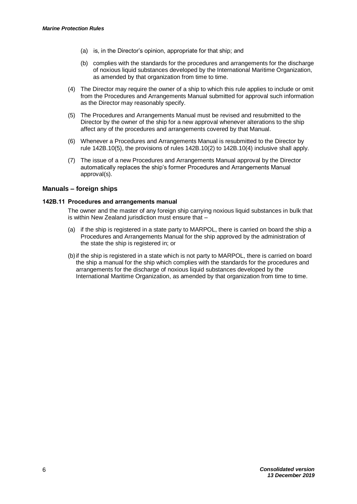- (a) is, in the Director's opinion, appropriate for that ship; and
- (b) complies with the standards for the procedures and arrangements for the discharge of noxious liquid substances developed by the International Maritime Organization, as amended by that organization from time to time.
- (4) The Director may require the owner of a ship to which this rule applies to include or omit from the Procedures and Arrangements Manual submitted for approval such information as the Director may reasonably specify.
- (5) The Procedures and Arrangements Manual must be revised and resubmitted to the Director by the owner of the ship for a new approval whenever alterations to the ship affect any of the procedures and arrangements covered by that Manual.
- (6) Whenever a Procedures and Arrangements Manual is resubmitted to the Director by rule 142B.10(5), the provisions of rules 142B.10(2) to 142B.10(4) inclusive shall apply.
- (7) The issue of a new Procedures and Arrangements Manual approval by the Director automatically replaces the ship's former Procedures and Arrangements Manual approval(s).

#### **Manuals – foreign ships**

#### **142B.11 Procedures and arrangements manual**

The owner and the master of any foreign ship carrying noxious liquid substances in bulk that is within New Zealand jurisdiction must ensure that –

- (a) if the ship is registered in a state party to MARPOL, there is carried on board the ship a Procedures and Arrangements Manual for the ship approved by the administration of the state the ship is registered in; or
- (b)if the ship is registered in a state which is not party to MARPOL, there is carried on board the ship a manual for the ship which complies with the standards for the procedures and arrangements for the discharge of noxious liquid substances developed by the International Maritime Organization, as amended by that organization from time to time.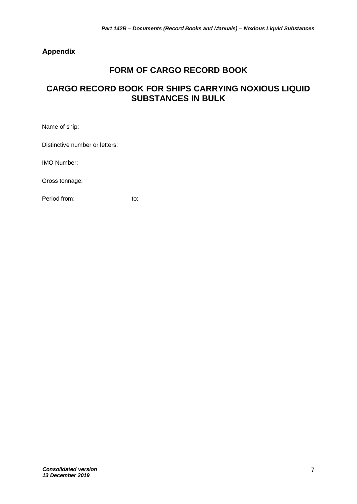# **Appendix**

# **FORM OF CARGO RECORD BOOK**

# **CARGO RECORD BOOK FOR SHIPS CARRYING NOXIOUS LIQUID SUBSTANCES IN BULK**

Name of ship:

Distinctive number or letters:

IMO Number:

Gross tonnage:

Period from: to: to: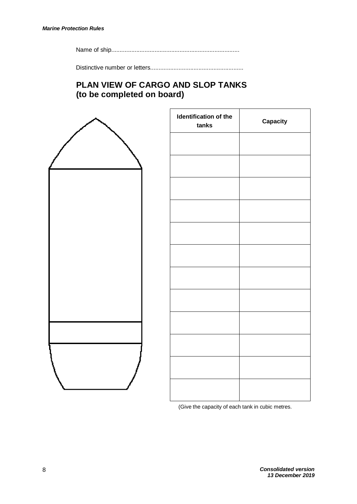Name of ship.............................................................................

Distinctive number or letters........................................................

# **PLAN VIEW OF CARGO AND SLOP TANKS (to be completed on board)**



| Identification of the<br>tanks | Capacity |
|--------------------------------|----------|
|                                |          |
|                                |          |
|                                |          |
|                                |          |
|                                |          |
|                                |          |
|                                |          |
|                                |          |
|                                |          |
|                                |          |
|                                |          |
|                                |          |

(Give the capacity of each tank in cubic metres.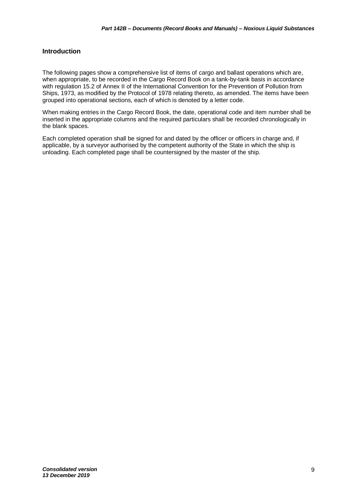## **Introduction**

The following pages show a comprehensive list of items of cargo and ballast operations which are, when appropriate, to be recorded in the Cargo Record Book on a tank-by-tank basis in accordance with regulation 15.2 of Annex II of the International Convention for the Prevention of Pollution from Ships, 1973, as modified by the Protocol of 1978 relating thereto, as amended. The items have been grouped into operational sections, each of which is denoted by a letter code.

When making entries in the Cargo Record Book, the date, operational code and item number shall be inserted in the appropriate columns and the required particulars shall be recorded chronologically in the blank spaces.

Each completed operation shall be signed for and dated by the officer or officers in charge and, if applicable, by a surveyor authorised by the competent authority of the State in which the ship is unloading. Each completed page shall be countersigned by the master of the ship.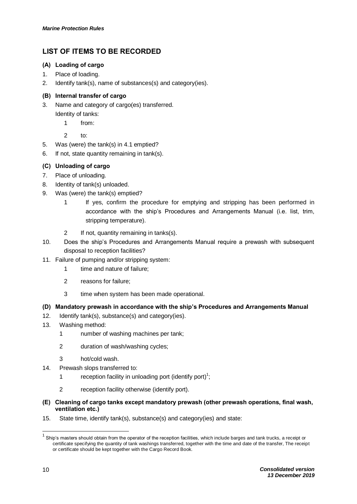# **LIST OF ITEMS TO BE RECORDED**

### **(A) Loading of cargo**

- 1. Place of loading.
- 2. Identify tank(s), name of substances(s) and category(ies).

## **(B) Internal transfer of cargo**

- 3. Name and category of cargo(es) transferred. Identity of tanks:
	- 1 from:

2 to:

- 5. Was (were) the tank(s) in 4.1 emptied?
- 6. If not, state quantity remaining in tank(s).

## **(C) Unloading of cargo**

- 7. Place of unloading.
- 8. Identity of tank(s) unloaded.
- 9. Was (were) the tank(s) emptied?
	- 1 If yes, confirm the procedure for emptying and stripping has been performed in accordance with the ship's Procedures and Arrangements Manual (i.e. list, trim, stripping temperature).
	- 2 If not, quantity remaining in tanks(s).
- 10. Does the ship's Procedures and Arrangements Manual require a prewash with subsequent disposal to reception facilities?
- 11. Failure of pumping and/or stripping system:
	- 1 time and nature of failure;
	- 2 reasons for failure;
	- 3 time when system has been made operational.

#### **(D) Mandatory prewash in accordance with the ship's Procedures and Arrangements Manual**

- 12. Identify tank(s), substance(s) and category(ies).
- 13. Washing method:
	- 1 number of washing machines per tank;
	- 2 duration of wash/washing cycles;
	- 3 hot/cold wash.
- 14. Prewash slops transferred to:
	- 1 reception facility in unloading port (identify port)<sup>1</sup>;
	- 2 reception facility otherwise (identify port).
- **(E) Cleaning of cargo tanks except mandatory prewash (other prewash operations, final wash, ventilation etc.)**
- 15. State time, identify tank(s), substance(s) and category(ies) and state:

 1 Ship's masters should obtain from the operator of the reception facilities, which include barges and tank trucks, a receipt or certificate specifying the quantity of tank washings transferred, together with the time and date of the transfer, The receipt or certificate should be kept together with the Cargo Record Book.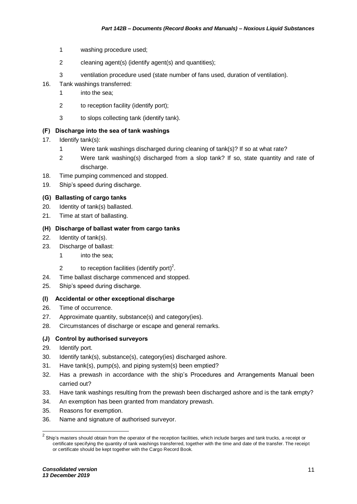- 1 washing procedure used;
- 2 cleaning agent(s) (identify agent(s) and quantities);
- 3 ventilation procedure used (state number of fans used, duration of ventilation).
- 16. Tank washings transferred:
	- 1 into the sea;
	- 2 to reception facility (identify port);
	- 3 to slops collecting tank (identify tank).

# **(F) Discharge into the sea of tank washings**

- 17. Identify tank(s):
	- 1 Were tank washings discharged during cleaning of tank(s)? If so at what rate?
	- 2 Were tank washing(s) discharged from a slop tank? If so, state quantity and rate of discharge.
- 18. Time pumping commenced and stopped.
- 19. Ship's speed during discharge.

# **(G) Ballasting of cargo tanks**

- 20. Identity of tank(s) ballasted.
- 21. Time at start of ballasting.

# **(H) Discharge of ballast water from cargo tanks**

- 22. Identity of tank(s).
- 23. Discharge of ballast:
	- 1 into the sea;
	- 2 to reception facilities (identify port)<sup>2</sup>.
- 24. Time ballast discharge commenced and stopped.
- 25. Ship's speed during discharge.

## **(I) Accidental or other exceptional discharge**

- 26. Time of occurrence.
- 27. Approximate quantity, substance(s) and category(ies).
- 28. Circumstances of discharge or escape and general remarks.

## **(J) Control by authorised surveyors**

- 29. Identify port.
- 30. Identify tank(s), substance(s), category(ies) discharged ashore.
- 31. Have tank(s), pump(s), and piping system(s) been emptied?
- 32. Has a prewash in accordance with the ship's Procedures and Arrangements Manual been carried out?
- 33. Have tank washings resulting from the prewash been discharged ashore and is the tank empty?
- 34. An exemption has been granted from mandatory prewash.
- 35. Reasons for exemption.
- 36. Name and signature of authorised surveyor.

 2 Ship's masters should obtain from the operator of the reception facilities, which include barges and tank trucks, a receipt or certificate specifying the quantity of tank washings transferred, together with the time and date of the transfer. The receipt or certificate should be kept together with the Cargo Record Book.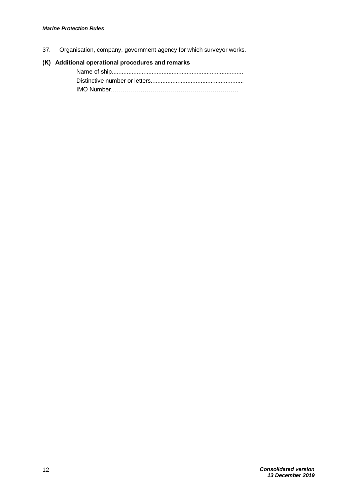#### *Marine Protection Rules*

37. Organisation, company, government agency for which surveyor works.

## **(K) Additional operational procedures and remarks**